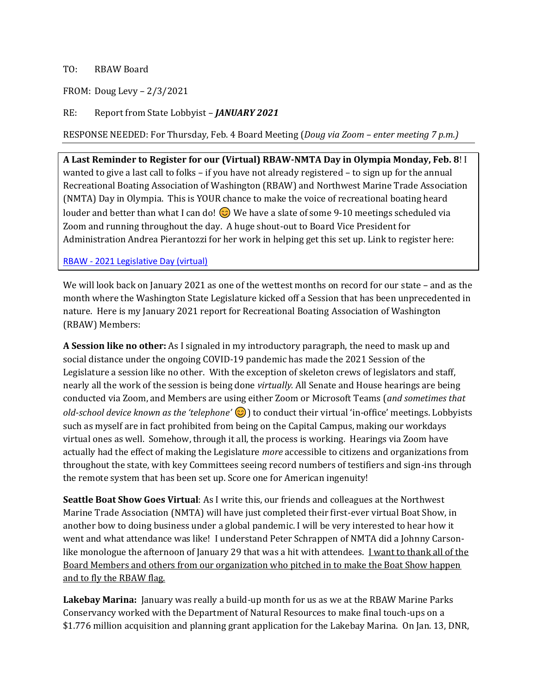## TO: RBAW Board

FROM: Doug Levy – 2/3/2021

RE: Report from State Lobbyist – *JANUARY 2021*

RESPONSE NEEDED: For Thursday, Feb. 4 Board Meeting (*Doug via Zoom – enter meeting 7 p.m.)*

**A Last Reminder to Register for our (Virtual) RBAW-NMTA Day in Olympia Monday, Feb. 8**! I wanted to give a last call to folks – if you have not already registered – to sign up for the annual Recreational Boating Association of Washington (RBAW) and Northwest Marine Trade Association (NMTA) Day in Olympia. This is YOUR chance to make the voice of recreational boating heard louder and better than what I can do!  $\odot$  We have a slate of some 9-10 meetings scheduled via Zoom and running throughout the day. A huge shout-out to Board Vice President for Administration Andrea Pierantozzi for her work in helping get this set up. Link to register here:

## RBAW - [2021 Legislative Day \(virtual\)](https://rbaw.org/event-4111423)

We will look back on January 2021 as one of the wettest months on record for our state – and as the month where the Washington State Legislature kicked off a Session that has been unprecedented in nature. Here is my January 2021 report for Recreational Boating Association of Washington (RBAW) Members:

**A Session like no other:** As I signaled in my introductory paragraph, the need to mask up and social distance under the ongoing COVID-19 pandemic has made the 2021 Session of the Legislature a session like no other. With the exception of skeleton crews of legislators and staff, nearly all the work of the session is being done *virtually.* All Senate and House hearings are being conducted via Zoom, and Members are using either Zoom or Microsoft Teams (*and sometimes that old-school device known as the 'telephone'*  $\odot$ ) to conduct their virtual 'in-office' meetings. Lobbyists such as myself are in fact prohibited from being on the Capital Campus, making our workdays virtual ones as well. Somehow, through it all, the process is working. Hearings via Zoom have actually had the effect of making the Legislature *more* accessible to citizens and organizations from throughout the state, with key Committees seeing record numbers of testifiers and sign-ins through the remote system that has been set up. Score one for American ingenuity!

**Seattle Boat Show Goes Virtual**: As I write this, our friends and colleagues at the Northwest Marine Trade Association (NMTA) will have just completed their first-ever virtual Boat Show, in another bow to doing business under a global pandemic. I will be very interested to hear how it went and what attendance was like! I understand Peter Schrappen of NMTA did a Johnny Carsonlike monologue the afternoon of January 29 that was a hit with attendees. I want to thank all of the Board Members and others from our organization who pitched in to make the Boat Show happen and to fly the RBAW flag.

**Lakebay Marina:** January was really a build-up month for us as we at the RBAW Marine Parks Conservancy worked with the Department of Natural Resources to make final touch-ups on a \$1.776 million acquisition and planning grant application for the Lakebay Marina. On Jan. 13, DNR,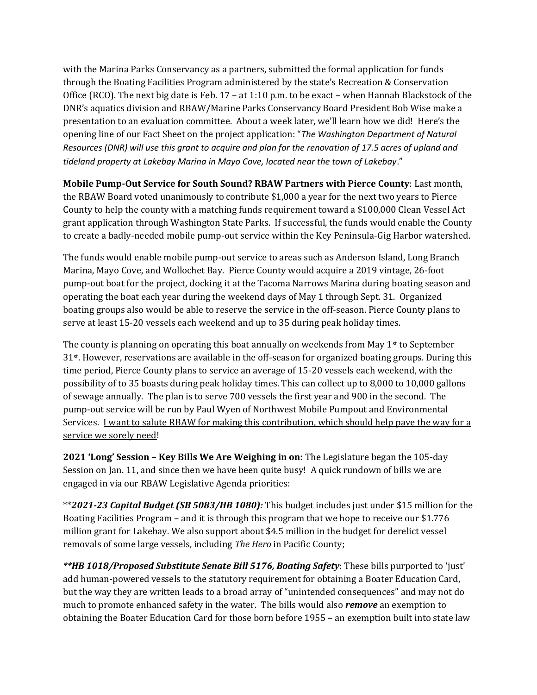with the Marina Parks Conservancy as a partners, submitted the formal application for funds through the Boating Facilities Program administered by the state's Recreation & Conservation Office (RCO). The next big date is Feb. 17 – at 1:10 p.m. to be exact – when Hannah Blackstock of the DNR's aquatics division and RBAW/Marine Parks Conservancy Board President Bob Wise make a presentation to an evaluation committee. About a week later, we'll learn how we did! Here's the opening line of our Fact Sheet on the project application: "*The Washington Department of Natural Resources (DNR) will use this grant to acquire and plan for the renovation of 17.5 acres of upland and tideland property at Lakebay Marina in Mayo Cove, located near the town of Lakebay*."

**Mobile Pump-Out Service for South Sound? RBAW Partners with Pierce County**: Last month, the RBAW Board voted unanimously to contribute \$1,000 a year for the next two years to Pierce County to help the county with a matching funds requirement toward a \$100,000 Clean Vessel Act grant application through Washington State Parks. If successful, the funds would enable the County to create a badly-needed mobile pump-out service within the Key Peninsula-Gig Harbor watershed.

The funds would enable mobile pump-out service to areas such as Anderson Island, Long Branch Marina, Mayo Cove, and Wollochet Bay. Pierce County would acquire a 2019 vintage, 26-foot pump-out boat for the project, docking it at the Tacoma Narrows Marina during boating season and operating the boat each year during the weekend days of May 1 through Sept. 31. Organized boating groups also would be able to reserve the service in the off-season. Pierce County plans to serve at least 15-20 vessels each weekend and up to 35 during peak holiday times.

The county is planning on operating this boat annually on weekends from May  $1<sup>st</sup>$  to September 31st. However, reservations are available in the off-season for organized boating groups. During this time period, Pierce County plans to service an average of 15-20 vessels each weekend, with the possibility of to 35 boasts during peak holiday times. This can collect up to 8,000 to 10,000 gallons of sewage annually. The plan is to serve 700 vessels the first year and 900 in the second. The pump-out service will be run by Paul Wyen of Northwest Mobile Pumpout and Environmental Services. I want to salute RBAW for making this contribution, which should help pave the way for a service we sorely need!

**2021 'Long' Session – Key Bills We Are Weighing in on:** The Legislature began the 105-day Session on Jan. 11, and since then we have been quite busy! A quick rundown of bills we are engaged in via our RBAW Legislative Agenda priorities:

\*\**2021-23 Capital Budget (SB 5083/HB 1080):* This budget includes just under \$15 million for the Boating Facilities Program – and it is through this program that we hope to receive our \$1.776 million grant for Lakebay. We also support about \$4.5 million in the budget for derelict vessel removals of some large vessels, including *The Hero* in Pacific County;

*\*\*HB 1018/Proposed Substitute Senate Bill 5176, Boating Safety*: These bills purported to 'just' add human-powered vessels to the statutory requirement for obtaining a Boater Education Card, but the way they are written leads to a broad array of "unintended consequences" and may not do much to promote enhanced safety in the water. The bills would also *remove* an exemption to obtaining the Boater Education Card for those born before 1955 – an exemption built into state law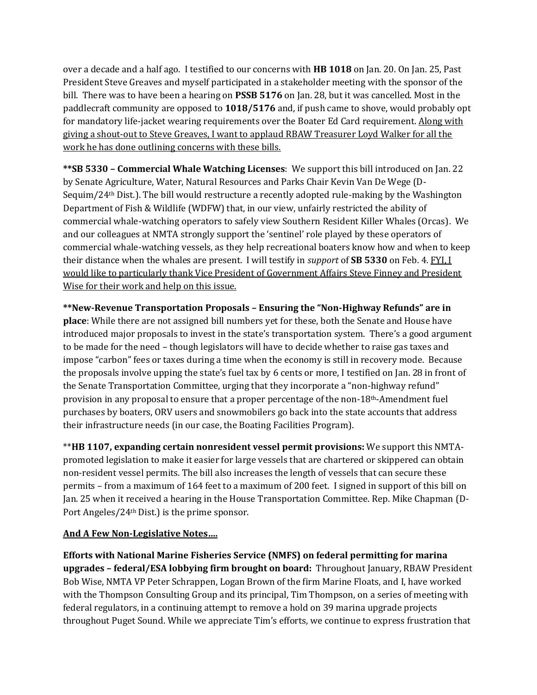over a decade and a half ago. I testified to our concerns with **HB 1018** on Jan. 20. On Jan. 25, Past President Steve Greaves and myself participated in a stakeholder meeting with the sponsor of the bill. There was to have been a hearing on **PSSB 5176** on Jan. 28, but it was cancelled. Most in the paddlecraft community are opposed to **1018/5176** and, if push came to shove, would probably opt for mandatory life-jacket wearing requirements over the Boater Ed Card requirement. Along with giving a shout-out to Steve Greaves, I want to applaud RBAW Treasurer Loyd Walker for all the work he has done outlining concerns with these bills.

**\*\*SB 5330 – Commercial Whale Watching Licenses**: We support this bill introduced on Jan. 22 by Senate Agriculture, Water, Natural Resources and Parks Chair Kevin Van De Wege (D-Sequim/24th Dist.). The bill would restructure a recently adopted rule-making by the Washington Department of Fish & Wildlife (WDFW) that, in our view, unfairly restricted the ability of commercial whale-watching operators to safely view Southern Resident Killer Whales (Orcas). We and our colleagues at NMTA strongly support the 'sentinel' role played by these operators of commercial whale-watching vessels, as they help recreational boaters know how and when to keep their distance when the whales are present. I will testify in *support* of **SB 5330** on Feb. 4. FYI, I would like to particularly thank Vice President of Government Affairs Steve Finney and President Wise for their work and help on this issue.

**\*\*New-Revenue Transportation Proposals – Ensuring the "Non-Highway Refunds" are in place**: While there are not assigned bill numbers yet for these, both the Senate and House have introduced major proposals to invest in the state's transportation system. There's a good argument to be made for the need – though legislators will have to decide whether to raise gas taxes and impose "carbon" fees or taxes during a time when the economy is still in recovery mode. Because the proposals involve upping the state's fuel tax by 6 cents or more, I testified on Jan. 28 in front of the Senate Transportation Committee, urging that they incorporate a "non-highway refund" provision in any proposal to ensure that a proper percentage of the non-18th-Amendment fuel purchases by boaters, ORV users and snowmobilers go back into the state accounts that address their infrastructure needs (in our case, the Boating Facilities Program).

\*\***HB 1107, expanding certain nonresident vessel permit provisions:** We support this NMTApromoted legislation to make it easier for large vessels that are chartered or skippered can obtain non-resident vessel permits. The bill also increases the length of vessels that can secure these permits – from a maximum of 164 feet to a maximum of 200 feet. I signed in support of this bill on Jan. 25 when it received a hearing in the House Transportation Committee. Rep. Mike Chapman (D-Port Angeles/24th Dist.) is the prime sponsor.

## **And A Few Non-Legislative Notes….**

**Efforts with National Marine Fisheries Service (NMFS) on federal permitting for marina upgrades – federal/ESA lobbying firm brought on board:** Throughout January, RBAW President Bob Wise, NMTA VP Peter Schrappen, Logan Brown of the firm Marine Floats, and I, have worked with the Thompson Consulting Group and its principal, Tim Thompson, on a series of meeting with federal regulators, in a continuing attempt to remove a hold on 39 marina upgrade projects throughout Puget Sound. While we appreciate Tim's efforts, we continue to express frustration that